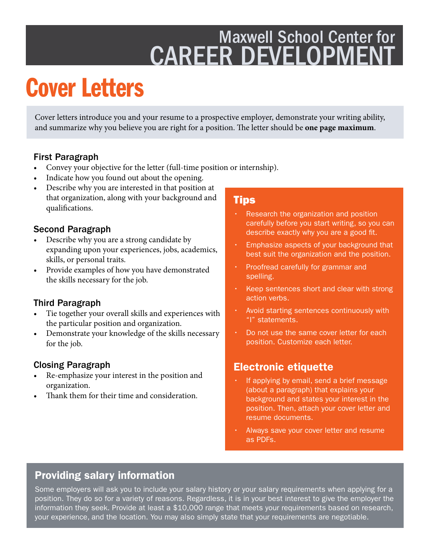## Maxwell School Center for CAREER DEVELOPMENT

# Cover Letters

Cover letters introduce you and your resume to a prospective employer, demonstrate your writing ability, and summarize why you believe you are right for a position. The letter should be **one page maximum**.

#### First Paragraph

- Convey your objective for the letter (full-time position or internship).
- Indicate how you found out about the opening.
- Describe why you are interested in that position at that organization, along with your background and qualifcations.

#### Second Paragraph

- Describe why you are a strong candidate by expanding upon your experiences, jobs, academics, skills, or personal traits.
- Provide examples of how you have demonstrated the skills necessary for the job.

#### Third Paragraph

- Tie together your overall skills and experiences with the particular position and organization.
- Demonstrate your knowledge of the skills necessary for the job.

#### Closing Paragraph

- Re-emphasize your interest in the position and organization.
- Thank them for their time and consideration.

#### Tips

- Research the organization and position carefully before you start writing, so you can describe exactly why you are a good fit.
- Emphasize aspects of your background that best suit the organization and the position.
- Proofread carefully for grammar and spelling.
- Keep sentences short and clear with strong action verbs.
- Avoid starting sentences continuously with "I" statements.
- Do not use the same cover letter for each position. Customize each letter.

### Electronic etiquette

- If applying by email, send a brief message (about a paragraph) that explains your background and states your interest in the position. Then, attach your cover letter and resume documents.
- Always save your cover letter and resume as PDFs.

### Providing salary information

Some employers will ask you to include your salary history or your salary requirements when applying for a position. They do so for a variety of reasons. Regardless, it is in your best interest to give the employer the information they seek. Provide at least a \$10,000 range that meets your requirements based on research, your experience, and the location. You may also simply state that your requirements are negotiable.